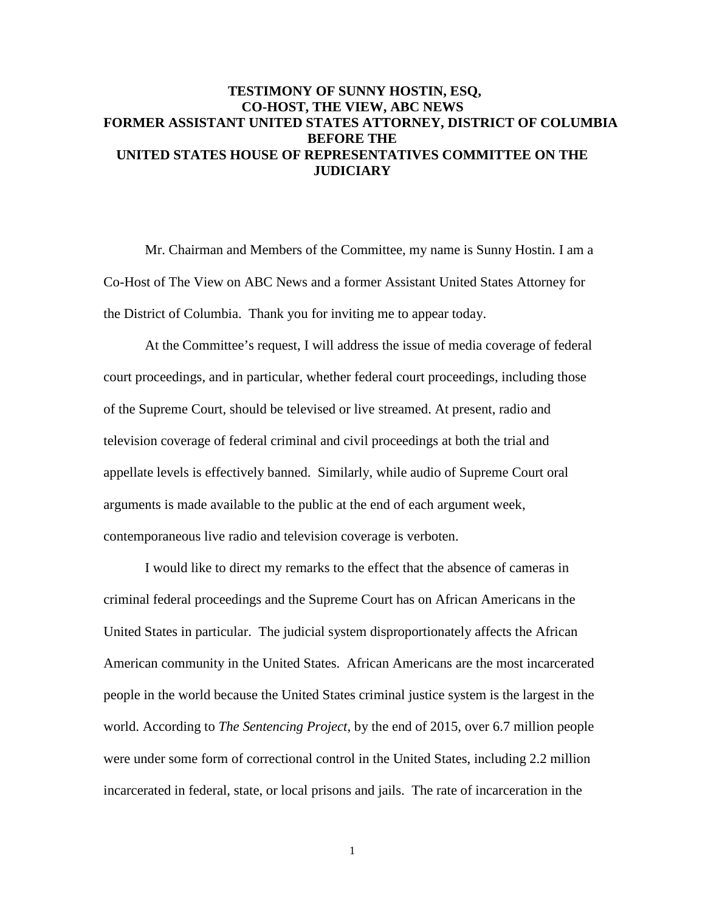# **TESTIMONY OF SUNNY HOSTIN, ESQ, CO-HOST, THE VIEW, ABC NEWS FORMER ASSISTANT UNITED STATES ATTORNEY, DISTRICT OF COLUMBIA BEFORE THE UNITED STATES HOUSE OF REPRESENTATIVES COMMITTEE ON THE JUDICIARY**

Mr. Chairman and Members of the Committee, my name is Sunny Hostin. I am a Co-Host of The View on ABC News and a former Assistant United States Attorney for the District of Columbia. Thank you for inviting me to appear today.

 At the Committee's request, I will address the issue of media coverage of federal court proceedings, and in particular, whether federal court proceedings, including those of the Supreme Court, should be televised or live streamed. At present, radio and television coverage of federal criminal and civil proceedings at both the trial and appellate levels is effectively banned. Similarly, while audio of Supreme Court oral arguments is made available to the public at the end of each argument week, contemporaneous live radio and television coverage is verboten.

I would like to direct my remarks to the effect that the absence of cameras in criminal federal proceedings and the Supreme Court has on African Americans in the United States in particular. The judicial system disproportionately affects the African American community in the United States. African Americans are the most incarcerated people in the world because the United States criminal justice system is the largest in the world. According to *The Sentencing Project*, by the end of 2015, over 6.7 million people were under some form of correctional control in the United States, including 2.2 million incarcerated in federal, state, or local prisons and jails. The rate of incarceration in the

1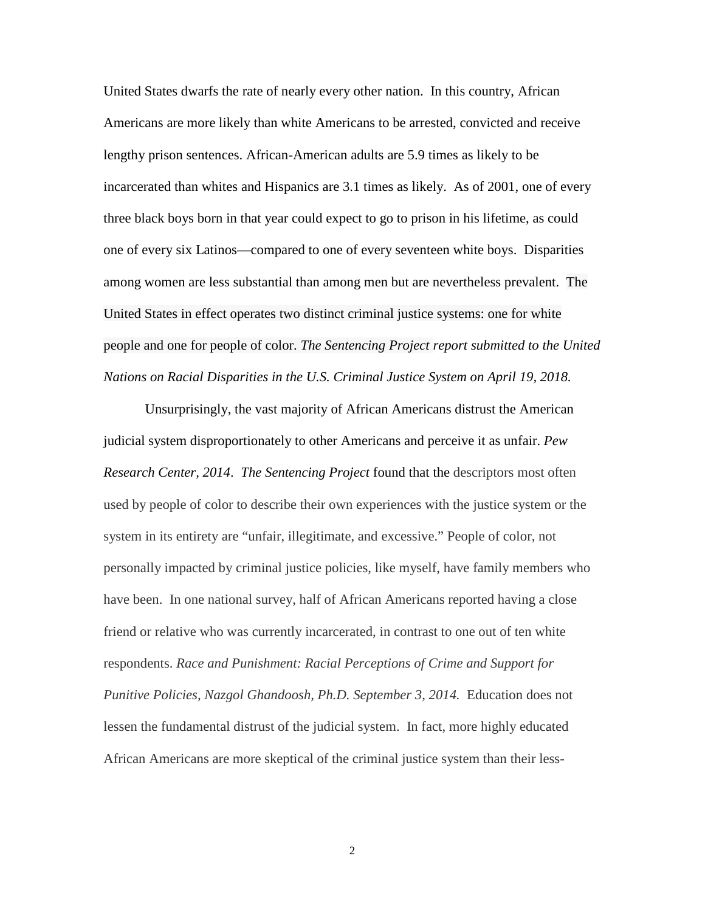United States dwarfs the rate of nearly every other nation. In this country, African Americans are more likely than white Americans to be arrested, convicted and receive lengthy prison sentences. African-American adults are 5.9 times as likely to be incarcerated than whites and Hispanics are 3.1 times as likely. As of 2001, one of every three black boys born in that year could expect to go to prison in his lifetime, as could one of every six Latinos—compared to one of every seventeen white boys. Disparities among women are less substantial than among men but are nevertheless prevalent. The United States in effect operates two distinct criminal justice systems: one for white people and one for people of color. *The Sentencing Project report submitted to the United Nations on Racial Disparities in the U.S. Criminal Justice System on April 19, 2018.*

Unsurprisingly, the vast majority of African Americans distrust the American judicial system disproportionately to other Americans and perceive it as unfair. *Pew Research Center, 2014*. *The Sentencing Project* found that the descriptors most often used by people of color to describe their own experiences with the justice system or the system in its entirety are "unfair, illegitimate, and excessive." People of color, not personally impacted by criminal justice policies, like myself, have family members who have been. In one national survey, half of African Americans reported having a close friend or relative who was currently incarcerated, in contrast to one out of ten white respondents. *Race and Punishment: Racial Perceptions of Crime and Support for Punitive Policies, Nazgol Ghandoosh, Ph.D. September 3, 2014.* Education does not lessen the fundamental distrust of the judicial system. In fact, more highly educated African Americans are more skeptical of the criminal justice system than their less-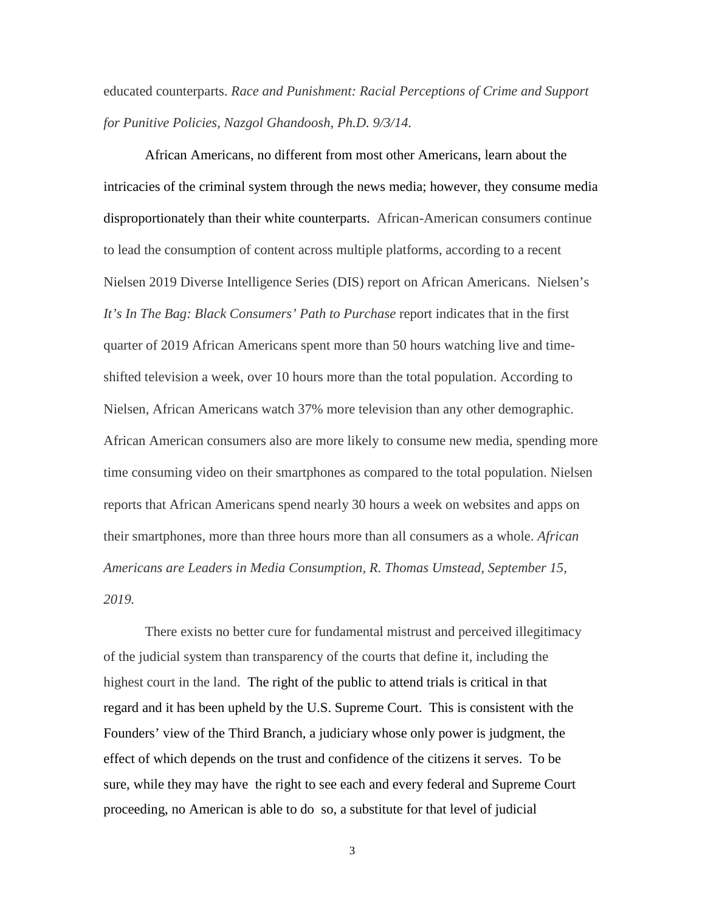educated counterparts. *Race and Punishment: Racial Perceptions of Crime and Support for Punitive Policies, Nazgol Ghandoosh, Ph.D. 9/3/14.*

African Americans, no different from most other Americans, learn about the intricacies of the criminal system through the news media; however, they consume media disproportionately than their white counterparts. African-American consumers continue to lead the consumption of content across multiple platforms, according to a recent Nielsen 2019 Diverse Intelligence Series (DIS) report on African Americans. Nielsen's *It's In The Bag: Black Consumers' Path to Purchase* report indicates that in the first quarter of 2019 African Americans spent more than 50 hours watching live and timeshifted television a week, over 10 hours more than the total population. According to Nielsen, African Americans watch 37% more television than any other demographic. African American consumers also are more likely to consume new media, spending more time consuming video on their smartphones as compared to the total population. Nielsen reports that African Americans spend nearly 30 hours a week on websites and apps on their smartphones, more than three hours more than all consumers as a whole. *African Americans are Leaders in Media Consumption, R. Thomas Umstead, September 15, 2019.*

There exists no better cure for fundamental mistrust and perceived illegitimacy of the judicial system than transparency of the courts that define it, including the highest court in the land. The right of the public to attend trials is critical in that regard and it has been upheld by the U.S. Supreme Court. This is consistent with the Founders' view of the Third Branch, a judiciary whose only power is judgment, the effect of which depends on the trust and confidence of the citizens it serves. To be sure, while they may have the right to see each and every federal and Supreme Court proceeding, no American is able to do so, a substitute for that level of judicial

3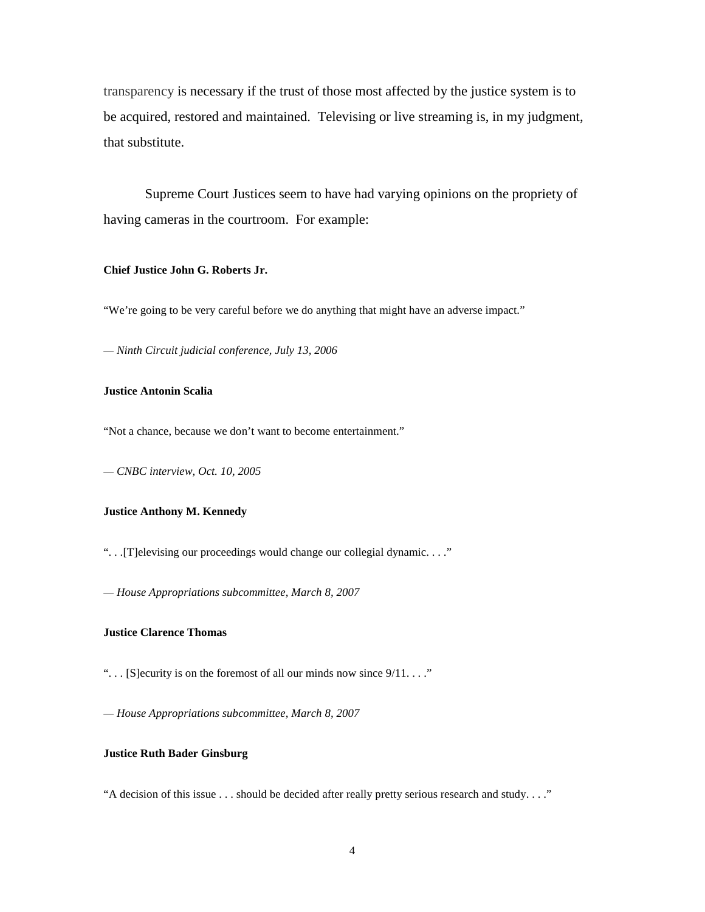transparency is necessary if the trust of those most affected by the justice system is to be acquired, restored and maintained. Televising or live streaming is, in my judgment, that substitute.

Supreme Court Justices seem to have had varying opinions on the propriety of having cameras in the courtroom. For example:

#### **Chief Justice John G. Roberts Jr.**

"We're going to be very careful before we do anything that might have an adverse impact."

*— Ninth Circuit judicial conference, July 13, 2006*

#### **Justice Antonin Scalia**

"Not a chance, because we don't want to become entertainment."

*— CNBC interview, Oct. 10, 2005*

### **Justice Anthony M. Kennedy**

". . .[T]elevising our proceedings would change our collegial dynamic. . . ."

*— House Appropriations subcommittee, March 8, 2007*

#### **Justice Clarence Thomas**

"... [S] ecurity is on the foremost of all our minds now since  $9/11$ ...."

*— House Appropriations subcommittee, March 8, 2007*

### **Justice Ruth Bader Ginsburg**

"A decision of this issue . . . should be decided after really pretty serious research and study. . . ."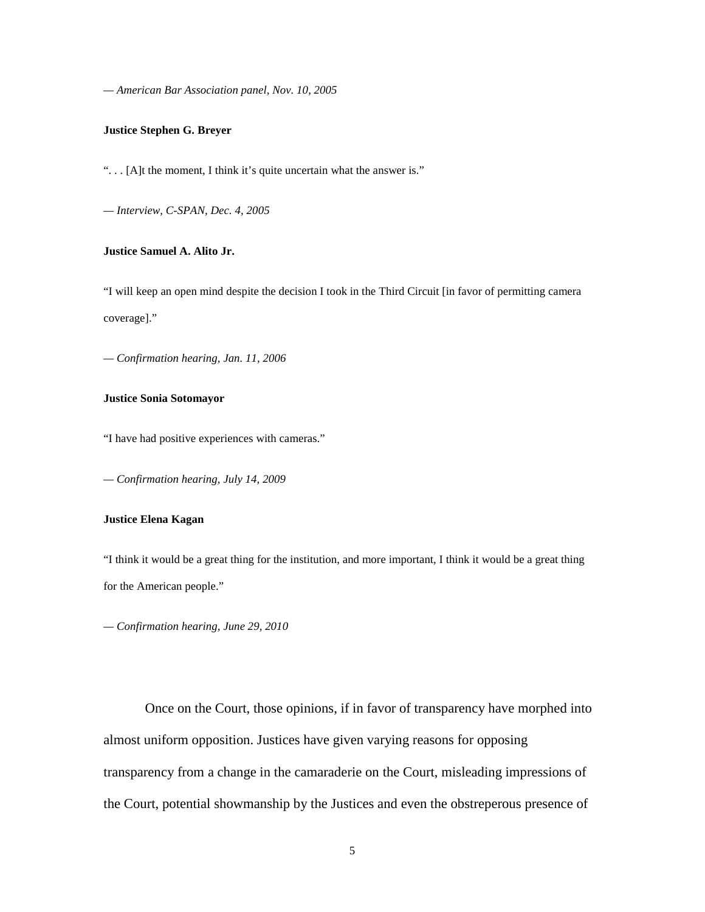*— American Bar Association panel, Nov. 10, 2005*

### **Justice Stephen G. Breyer**

". . . [A]t the moment, I think it's quite uncertain what the answer is."

*— Interview, C-SPAN, Dec. 4, 2005*

## **Justice Samuel A. Alito Jr.**

"I will keep an open mind despite the decision I took in the Third Circuit [in favor of permitting camera coverage]."

*— Confirmation hearing, Jan. 11, 2006*

### **Justice Sonia Sotomayor**

"I have had positive experiences with cameras."

*— Confirmation hearing, July 14, 2009*

## **Justice Elena Kagan**

"I think it would be a great thing for the institution, and more important, I think it would be a great thing for the American people."

*— Confirmation hearing, June 29, 2010*

Once on the Court, those opinions, if in favor of transparency have morphed into almost uniform opposition. Justices have given varying reasons for opposing transparency from a change in the camaraderie on the Court, misleading impressions of the Court, potential showmanship by the Justices and even the obstreperous presence of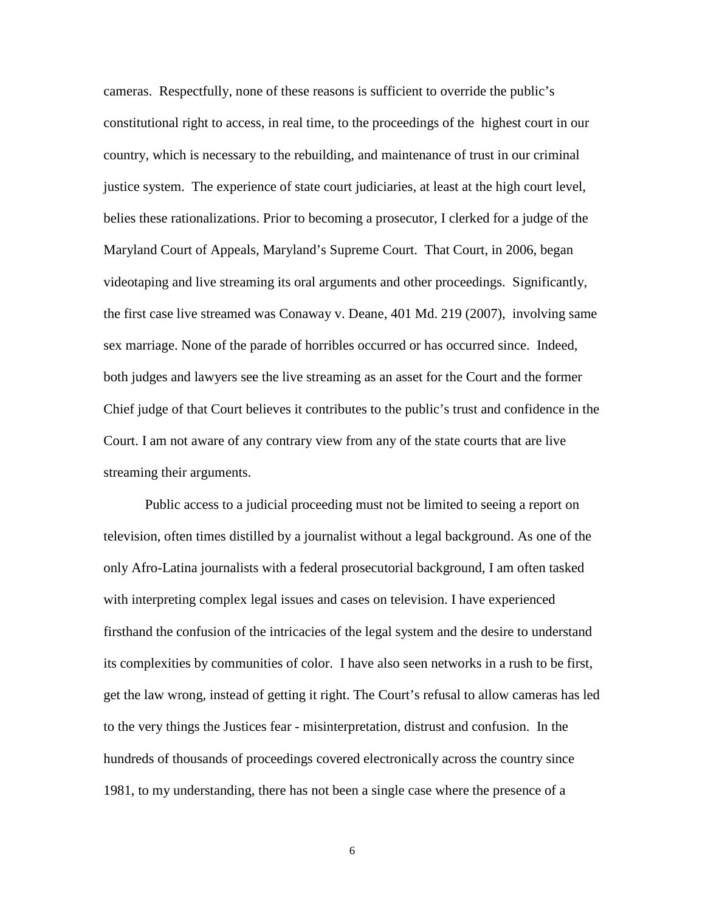cameras. Respectfully, none of these reasons is sufficient to override the public's constitutional right to access, in real time, to the proceedings of the highest court in our country, which is necessary to the rebuilding, and maintenance of trust in our criminal justice system. The experience of state court judiciaries, at least at the high court level, belies these rationalizations. Prior to becoming a prosecutor, I clerked for a judge of the Maryland Court of Appeals, Maryland's Supreme Court. That Court, in 2006, began videotaping and live streaming its oral arguments and other proceedings. Significantly, the first case live streamed was Conaway v. Deane, 401 Md. 219 (2007), involving same sex marriage. None of the parade of horribles occurred or has occurred since. Indeed, both judges and lawyers see the live streaming as an asset for the Court and the former Chief judge of that Court believes it contributes to the public's trust and confidence in the Court. I am not aware of any contrary view from any of the state courts that are live streaming their arguments.

Public access to a judicial proceeding must not be limited to seeing a report on television, often times distilled by a journalist without a legal background. As one of the only Afro-Latina journalists with a federal prosecutorial background, I am often tasked with interpreting complex legal issues and cases on television. I have experienced firsthand the confusion of the intricacies of the legal system and the desire to understand its complexities by communities of color. I have also seen networks in a rush to be first, get the law wrong, instead of getting it right. The Court's refusal to allow cameras has led to the very things the Justices fear - misinterpretation, distrust and confusion. In the hundreds of thousands of proceedings covered electronically across the country since 1981, to my understanding, there has not been a single case where the presence of a

6